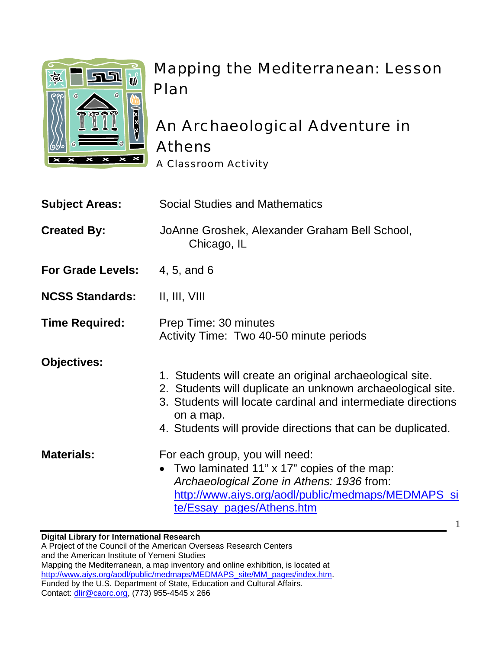

# Mapping the Mediterranean: Lesson Plan

## An Archaeological Adventure in Athens A Classroom Activity

| <b>Subject Areas:</b>    | <b>Social Studies and Mathematics</b>                                                                                                                                                                                                                              |
|--------------------------|--------------------------------------------------------------------------------------------------------------------------------------------------------------------------------------------------------------------------------------------------------------------|
| <b>Created By:</b>       | JoAnne Groshek, Alexander Graham Bell School,<br>Chicago, IL                                                                                                                                                                                                       |
| <b>For Grade Levels:</b> | 4, 5, and 6                                                                                                                                                                                                                                                        |
| <b>NCSS Standards:</b>   | II, III, VIII                                                                                                                                                                                                                                                      |
| <b>Time Required:</b>    | Prep Time: 30 minutes<br>Activity Time: Two 40-50 minute periods                                                                                                                                                                                                   |
| <b>Objectives:</b>       | 1. Students will create an original archaeological site.<br>2. Students will duplicate an unknown archaeological site.<br>3. Students will locate cardinal and intermediate directions<br>on a map.<br>4. Students will provide directions that can be duplicated. |
| <b>Materials:</b>        | For each group, you will need:<br>• Two laminated 11" x 17" copies of the map:<br>Archaeological Zone in Athens: 1936 from:<br>http://www.aiys.org/aodl/public/medmaps/MEDMAPS_si<br>te/Essay_pages/Athens.htm                                                     |

1

**Digital Library for International Research**  A Project of the Council of the American Overseas Research Centers and the American Institute of Yemeni Studies Mapping the Mediterranean, a map inventory and online exhibition, is located at http://www.aiys.org/aodl/public/medmaps/MEDMAPS\_site/MM\_pages/index.htm. Funded by the U.S. Department of State, Education and Cultural Affairs. Contact: dlir@caorc.org, (773) 955-4545 x 266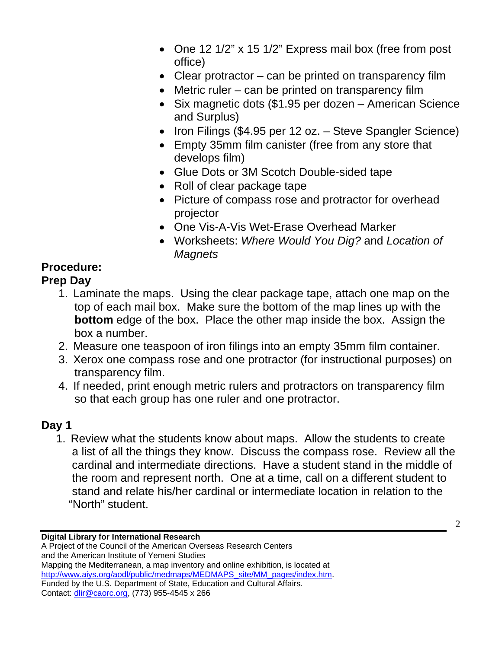- One 12 1/2" x 15 1/2" Express mail box (free from post office)
- Clear protractor can be printed on transparency film
- Metric ruler can be printed on transparency film
- Six magnetic dots (\$1.95 per dozen American Science and Surplus)
- Iron Filings (\$4.95 per 12 oz. Steve Spangler Science)
- Empty 35mm film canister (free from any store that develops film)
- Glue Dots or 3M Scotch Double-sided tape
- Roll of clear package tape
- Picture of compass rose and protractor for overhead projector
- One Vis-A-Vis Wet-Erase Overhead Marker
- Worksheets: *Where Would You Dig?* and *Location of Magnets*

### **Procedure:**

### **Prep Day**

- 1. Laminate the maps. Using the clear package tape, attach one map on the top of each mail box. Make sure the bottom of the map lines up with the **bottom** edge of the box. Place the other map inside the box. Assign the box a number.
- 2. Measure one teaspoon of iron filings into an empty 35mm film container.
- 3. Xerox one compass rose and one protractor (for instructional purposes) on transparency film.
- 4. If needed, print enough metric rulers and protractors on transparency film so that each group has one ruler and one protractor.

### **Day 1**

1. Review what the students know about maps. Allow the students to create a list of all the things they know. Discuss the compass rose. Review all the cardinal and intermediate directions. Have a student stand in the middle of the room and represent north. One at a time, call on a different student to stand and relate his/her cardinal or intermediate location in relation to the "North" student.

**Digital Library for International Research** 

2

A Project of the Council of the American Overseas Research Centers and the American Institute of Yemeni Studies Mapping the Mediterranean, a map inventory and online exhibition, is located at http://www.aiys.org/aodl/public/medmaps/MEDMAPS\_site/MM\_pages/index.htm. Funded by the U.S. Department of State, Education and Cultural Affairs. Contact: dlir@caorc.org, (773) 955-4545 x 266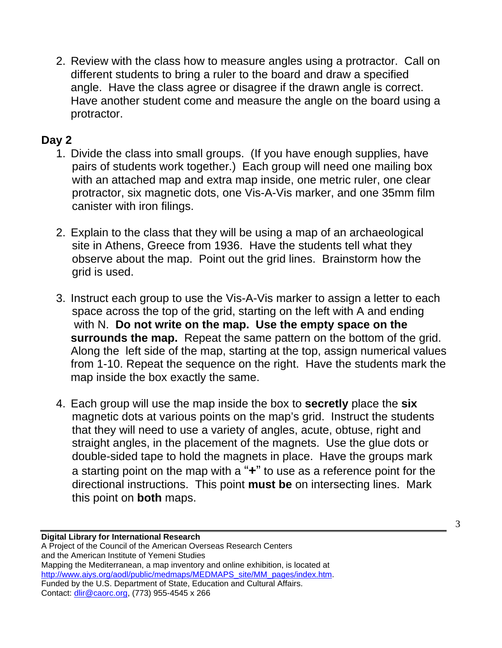2. Review with the class how to measure angles using a protractor. Call on different students to bring a ruler to the board and draw a specified angle. Have the class agree or disagree if the drawn angle is correct. Have another student come and measure the angle on the board using a protractor.

#### **Day 2**

- 1. Divide the class into small groups. (If you have enough supplies, have pairs of students work together.) Each group will need one mailing box with an attached map and extra map inside, one metric ruler, one clear protractor, six magnetic dots, one Vis-A-Vis marker, and one 35mm film canister with iron filings.
- 2. Explain to the class that they will be using a map of an archaeological site in Athens, Greece from 1936. Have the students tell what they observe about the map. Point out the grid lines. Brainstorm how the grid is used.
- 3. Instruct each group to use the Vis-A-Vis marker to assign a letter to each space across the top of the grid, starting on the left with A and ending with N. **Do not write on the map. Use the empty space on the surrounds the map.** Repeat the same pattern on the bottom of the grid. Along the left side of the map, starting at the top, assign numerical values from 1-10. Repeat the sequence on the right. Have the students mark the map inside the box exactly the same.
- 4. Each group will use the map inside the box to **secretly** place the **six** magnetic dots at various points on the map's grid. Instruct the students that they will need to use a variety of angles, acute, obtuse, right and straight angles, in the placement of the magnets. Use the glue dots or double-sided tape to hold the magnets in place. Have the groups mark a starting point on the map with a "**+**" to use as a reference point for the directional instructions. This point **must be** on intersecting lines. Mark this point on **both** maps.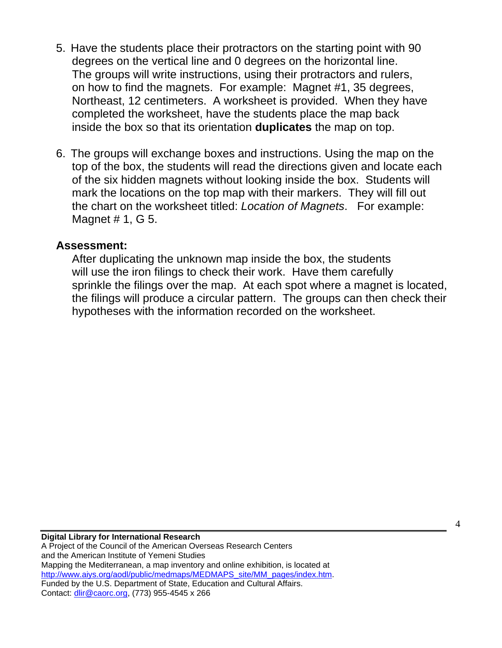- 5. Have the students place their protractors on the starting point with 90 degrees on the vertical line and 0 degrees on the horizontal line. The groups will write instructions, using their protractors and rulers, on how to find the magnets. For example: Magnet #1, 35 degrees, Northeast, 12 centimeters. A worksheet is provided. When they have completed the worksheet, have the students place the map back inside the box so that its orientation **duplicates** the map on top.
- 6. The groups will exchange boxes and instructions. Using the map on the top of the box, the students will read the directions given and locate each of the six hidden magnets without looking inside the box. Students will mark the locations on the top map with their markers. They will fill out the chart on the worksheet titled: *Location of Magnets*. For example: Magnet # 1, G 5.

#### **Assessment:**

After duplicating the unknown map inside the box, the students will use the iron filings to check their work. Have them carefully sprinkle the filings over the map. At each spot where a magnet is located, the filings will produce a circular pattern. The groups can then check their hypotheses with the information recorded on the worksheet.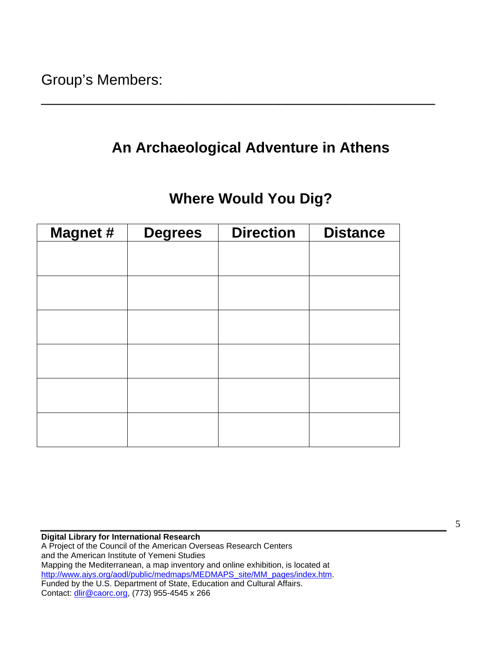## **An Archaeological Adventure in Athens**

\_\_\_\_\_\_\_\_\_\_\_\_\_\_\_\_\_\_\_\_\_\_\_\_\_\_\_\_\_\_\_\_\_\_\_\_\_\_\_\_\_\_\_\_\_\_\_\_

## **Where Would You Dig?**

| <b>Magnet #</b> | <b>Degrees</b> | <b>Direction</b> | <b>Distance</b> |
|-----------------|----------------|------------------|-----------------|
|                 |                |                  |                 |
|                 |                |                  |                 |
|                 |                |                  |                 |
|                 |                |                  |                 |
|                 |                |                  |                 |
|                 |                |                  |                 |
|                 |                |                  |                 |
|                 |                |                  |                 |
|                 |                |                  |                 |
|                 |                |                  |                 |
|                 |                |                  |                 |
|                 |                |                  |                 |

**Digital Library for International Research**  A Project of the Council of the American Overseas Research Centers and the American Institute of Yemeni Studies Mapping the Mediterranean, a map inventory and online exhibition, is located at http://www.aiys.org/aodl/public/medmaps/MEDMAPS\_site/MM\_pages/index.htm. Funded by the U.S. Department of State, Education and Cultural Affairs. Contact: dlir@caorc.org, (773) 955-4545 x 266

5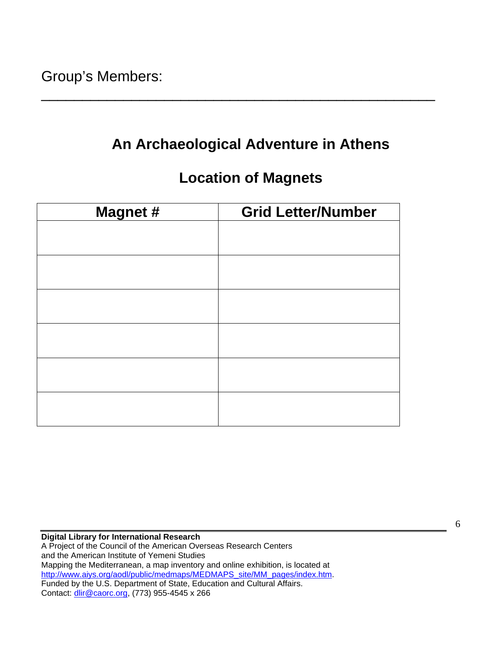## **An Archaeological Adventure in Athens**

\_\_\_\_\_\_\_\_\_\_\_\_\_\_\_\_\_\_\_\_\_\_\_\_\_\_\_\_\_\_\_\_\_\_\_\_\_\_\_\_\_\_\_\_\_\_\_\_

### **Location of Magnets**

| <b>Magnet #</b> | <b>Grid Letter/Number</b> |  |  |
|-----------------|---------------------------|--|--|
|                 |                           |  |  |
|                 |                           |  |  |
|                 |                           |  |  |
|                 |                           |  |  |
|                 |                           |  |  |
|                 |                           |  |  |
|                 |                           |  |  |
|                 |                           |  |  |
|                 |                           |  |  |
|                 |                           |  |  |
|                 |                           |  |  |
|                 |                           |  |  |

**Digital Library for International Research**  A Project of the Council of the American Overseas Research Centers and the American Institute of Yemeni Studies Mapping the Mediterranean, a map inventory and online exhibition, is located at http://www.aiys.org/aodl/public/medmaps/MEDMAPS\_site/MM\_pages/index.htm. Funded by the U.S. Department of State, Education and Cultural Affairs. Contact: dlir@caorc.org, (773) 955-4545 x 266

6